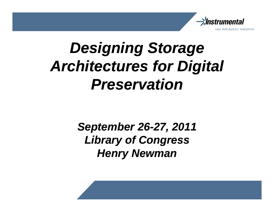

# **Designing Storage Architectures for Digital Preservation**

**September 26-27, 2011 Library of Congress Henry Newman**

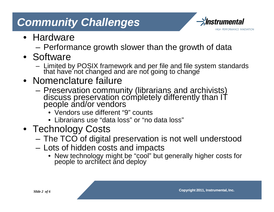# **Community Challenges**



- Hardware
	- Performance growth slower than the growth of data
- Software
	- Limited by POSIX framework and per file and file system standards that have not changed and are not going to change
- Nomenclature failure
	- Preservation community (librarians and archivists) discuss preservation completely differently than IT people and/or vendors
		- Vendors use different "9" counts
		- Librarians use "data loss" or "no data loss"
- Technology Costs
	- The TCO of digital preservation is not well understood
	- Lots of hidden costs and impacts
		- New technology might be "cool" but generally higher costs for people to architect and deploy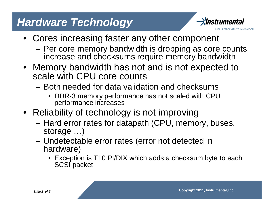### **Hardware Technology**



- Cores increasing faster any other component
	- Per core memory bandwidth is dropping as core counts increase and checksums require memory bandwidth
- Memory bandwidth has not and is not expected to scale with CPU core counts
	- Both needed for data validation and checksums
		- DDR-3 memory performance has not scaled with CPU performance increases
- Reliability of technology is not improving
	- Hard error rates for datapath (CPU, memory, buses, storage …)
	- Undetectable error rates (error not detected in hardware)
		- Exception is T10 PI/DIX which adds a checksum byte to each SCSI packet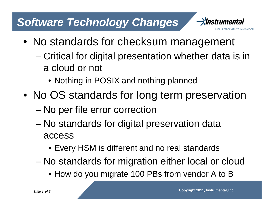# **Software Technology Changes**



- No standards for checksum management
	- Critical for digital presentation whether data is in a cloud or not
		- Nothing in POSIX and nothing planned
- No OS standards for long term preservation
	- No per file error correction
	- No standards for digital preservation data access
		- Every HSM is different and no real standards
	- No standards for migration either local or cloud
		- How do you migrate 100 PBs from vendor A to B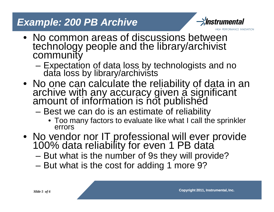#### **Example: 200 PB Archive**



PERFORMANCE INNOVATION

- No common areas of discussions between technology people and the library/archivist **community** 
	- Expectation of data loss by technologists and no data loss by library/archivists
- No one can calculate the reliability of data in an archive with any accuracy given a significant amount of information is not published
	- Best we can do is an estimate of reliability
		- Too many factors to evaluate like what I call the sprinkler errors
- No vendor nor IT professional will ever provide 100% data reliability for even 1 PB data
	- But what is the number of 9s they will provide?
	- But what is the cost for adding 1 more 9?